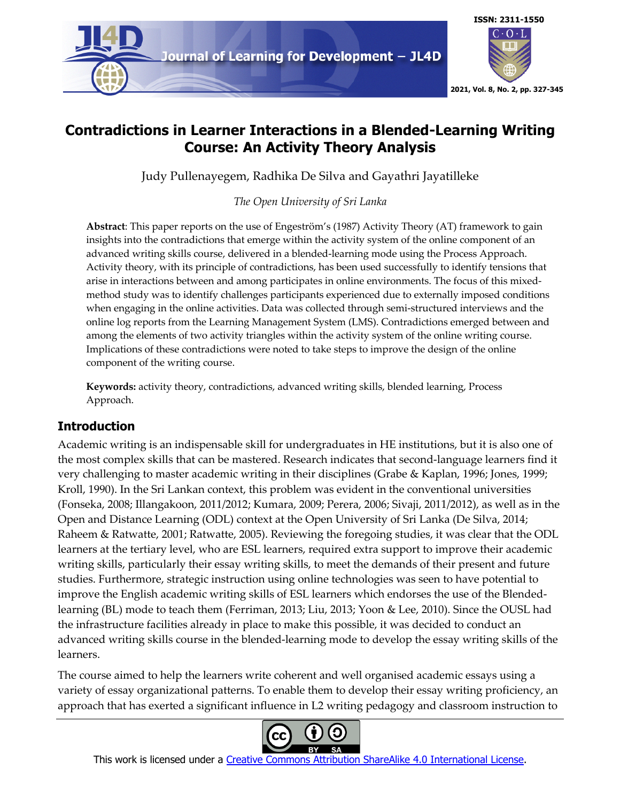

# **Contradictions in Learner Interactions in a Blended-Learning Writing Course: An Activity Theory Analysis**

Judy Pullenayegem, Radhika De Silva and Gayathri Jayatilleke

## *The Open University of Sri Lanka*

**Abstract**: This paper reports on the use of Engeström's (1987) Activity Theory (AT) framework to gain insights into the contradictions that emerge within the activity system of the online component of an advanced writing skills course, delivered in a blended-learning mode using the Process Approach. Activity theory, with its principle of contradictions, has been used successfully to identify tensions that arise in interactions between and among participates in online environments. The focus of this mixedmethod study was to identify challenges participants experienced due to externally imposed conditions when engaging in the online activities. Data was collected through semi-structured interviews and the online log reports from the Learning Management System (LMS). Contradictions emerged between and among the elements of two activity triangles within the activity system of the online writing course. Implications of these contradictions were noted to take steps to improve the design of the online component of the writing course.

**Keywords:** activity theory, contradictions, advanced writing skills, blended learning, Process Approach.

## **Introduction**

Academic writing is an indispensable skill for undergraduates in HE institutions, but it is also one of the most complex skills that can be mastered. Research indicates that second-language learners find it very challenging to master academic writing in their disciplines (Grabe & Kaplan, 1996; Jones, 1999; Kroll, 1990). In the Sri Lankan context, this problem was evident in the conventional universities (Fonseka, 2008; Illangakoon, 2011/2012; Kumara, 2009; Perera, 2006; Sivaji, 2011/2012), as well as in the Open and Distance Learning (ODL) context at the Open University of Sri Lanka (De Silva, 2014; Raheem & Ratwatte, 2001; Ratwatte, 2005). Reviewing the foregoing studies, it was clear that the ODL learners at the tertiary level, who are ESL learners, required extra support to improve their academic writing skills, particularly their essay writing skills, to meet the demands of their present and future studies. Furthermore, strategic instruction using online technologies was seen to have potential to improve the English academic writing skills of ESL learners which endorses the use of the Blendedlearning (BL) mode to teach them (Ferriman, 2013; Liu, 2013; Yoon & Lee, 2010). Since the OUSL had the infrastructure facilities already in place to make this possible, it was decided to conduct an advanced writing skills course in the blended-learning mode to develop the essay writing skills of the learners.

The course aimed to help the learners write coherent and well organised academic essays using a variety of essay organizational patterns. To enable them to develop their essay writing proficiency, an approach that has exerted a significant influence in L2 writing pedagogy and classroom instruction to



This work is licensed under a Creative Commons Attribution ShareAlike 4.0 International License.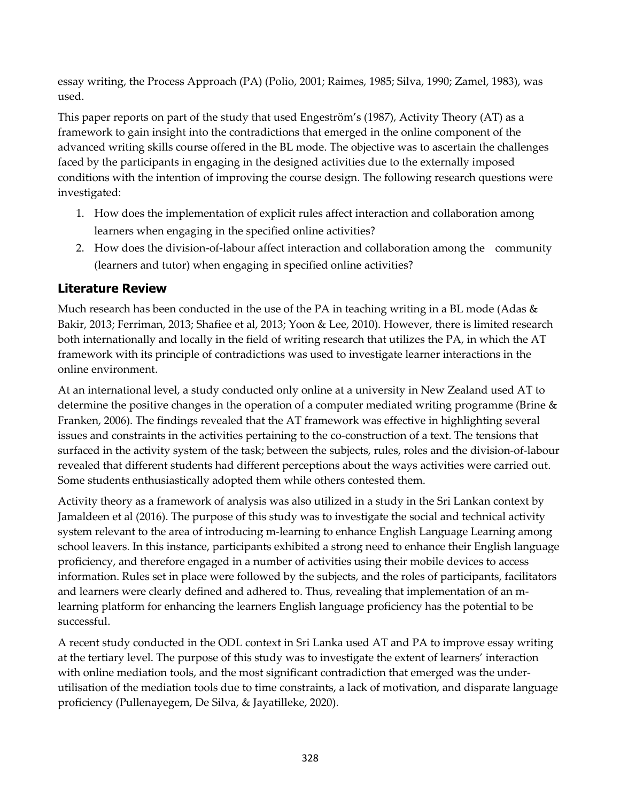essay writing, the Process Approach (PA) (Polio, 2001; Raimes, 1985; Silva, 1990; Zamel, 1983), was used.

This paper reports on part of the study that used Engeström's (1987), Activity Theory (AT) as a framework to gain insight into the contradictions that emerged in the online component of the advanced writing skills course offered in the BL mode. The objective was to ascertain the challenges faced by the participants in engaging in the designed activities due to the externally imposed conditions with the intention of improving the course design. The following research questions were investigated:

- 1. How does the implementation of explicit rules affect interaction and collaboration among learners when engaging in the specified online activities?
- 2. How does the division-of-labour affect interaction and collaboration among the community (learners and tutor) when engaging in specified online activities?

## **Literature Review**

Much research has been conducted in the use of the PA in teaching writing in a BL mode (Adas  $\&$ Bakir, 2013; Ferriman, 2013; Shafiee et al, 2013; Yoon & Lee, 2010). However, there is limited research both internationally and locally in the field of writing research that utilizes the PA, in which the AT framework with its principle of contradictions was used to investigate learner interactions in the online environment.

At an international level, a study conducted only online at a university in New Zealand used AT to determine the positive changes in the operation of a computer mediated writing programme (Brine  $\&$ Franken, 2006). The findings revealed that the AT framework was effective in highlighting several issues and constraints in the activities pertaining to the co-construction of a text. The tensions that surfaced in the activity system of the task; between the subjects, rules, roles and the division-of-labour revealed that different students had different perceptions about the ways activities were carried out. Some students enthusiastically adopted them while others contested them.

Activity theory as a framework of analysis was also utilized in a study in the Sri Lankan context by Jamaldeen et al (2016). The purpose of this study was to investigate the social and technical activity system relevant to the area of introducing m-learning to enhance English Language Learning among school leavers. In this instance, participants exhibited a strong need to enhance their English language proficiency, and therefore engaged in a number of activities using their mobile devices to access information. Rules set in place were followed by the subjects, and the roles of participants, facilitators and learners were clearly defined and adhered to. Thus, revealing that implementation of an mlearning platform for enhancing the learners English language proficiency has the potential to be successful.

A recent study conducted in the ODL context in Sri Lanka used AT and PA to improve essay writing at the tertiary level. The purpose of this study was to investigate the extent of learners' interaction with online mediation tools, and the most significant contradiction that emerged was the underutilisation of the mediation tools due to time constraints, a lack of motivation, and disparate language proficiency (Pullenayegem, De Silva, & Jayatilleke, 2020).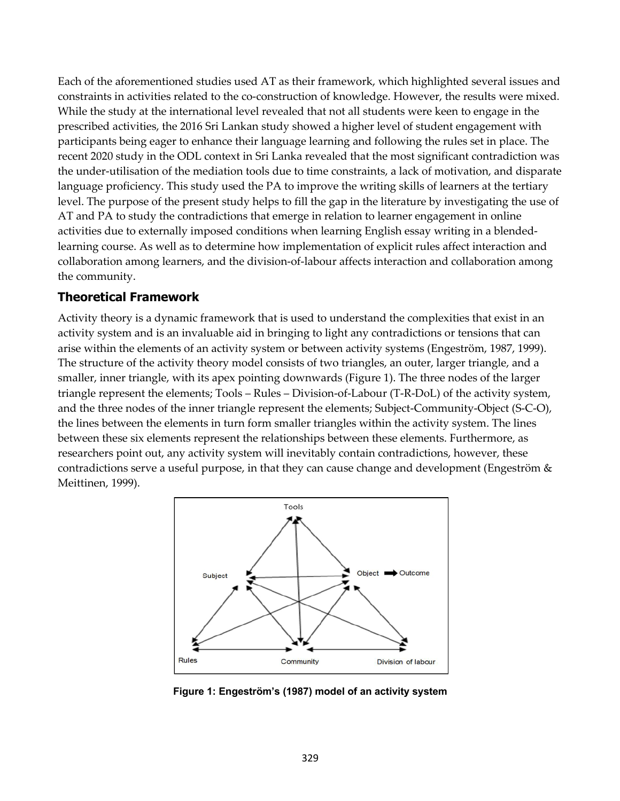Each of the aforementioned studies used AT as their framework, which highlighted several issues and constraints in activities related to the co-construction of knowledge. However, the results were mixed. While the study at the international level revealed that not all students were keen to engage in the prescribed activities, the 2016 Sri Lankan study showed a higher level of student engagement with participants being eager to enhance their language learning and following the rules set in place. The recent 2020 study in the ODL context in Sri Lanka revealed that the most significant contradiction was the under-utilisation of the mediation tools due to time constraints, a lack of motivation, and disparate language proficiency. This study used the PA to improve the writing skills of learners at the tertiary level. The purpose of the present study helps to fill the gap in the literature by investigating the use of AT and PA to study the contradictions that emerge in relation to learner engagement in online activities due to externally imposed conditions when learning English essay writing in a blendedlearning course. As well as to determine how implementation of explicit rules affect interaction and collaboration among learners, and the division-of-labour affects interaction and collaboration among the community.

### **Theoretical Framework**

Activity theory is a dynamic framework that is used to understand the complexities that exist in an activity system and is an invaluable aid in bringing to light any contradictions or tensions that can arise within the elements of an activity system or between activity systems (Engeström, 1987, 1999). The structure of the activity theory model consists of two triangles, an outer, larger triangle, and a smaller, inner triangle, with its apex pointing downwards (Figure 1). The three nodes of the larger triangle represent the elements; Tools – Rules – Division-of-Labour (T-R-DoL) of the activity system, and the three nodes of the inner triangle represent the elements; Subject-Community-Object (S-C-O), the lines between the elements in turn form smaller triangles within the activity system. The lines between these six elements represent the relationships between these elements. Furthermore, as researchers point out, any activity system will inevitably contain contradictions, however, these contradictions serve a useful purpose, in that they can cause change and development (Engeström & Meittinen, 1999).



**Figure 1: Engeström's (1987) model of an activity system**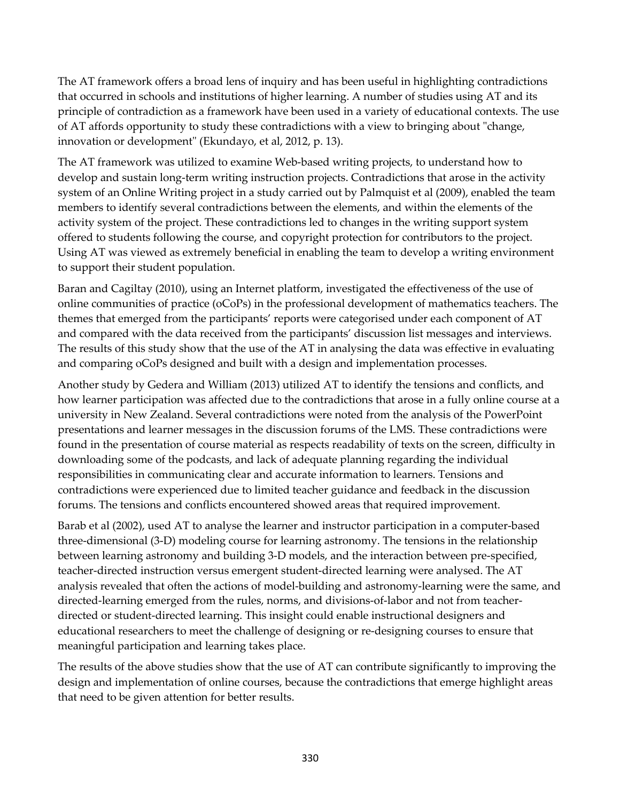The AT framework offers a broad lens of inquiry and has been useful in highlighting contradictions that occurred in schools and institutions of higher learning. A number of studies using AT and its principle of contradiction as a framework have been used in a variety of educational contexts. The use of AT affords opportunity to study these contradictions with a view to bringing about "change, innovation or development" (Ekundayo, et al, 2012, p. 13).

The AT framework was utilized to examine Web-based writing projects, to understand how to develop and sustain long-term writing instruction projects. Contradictions that arose in the activity system of an Online Writing project in a study carried out by Palmquist et al (2009), enabled the team members to identify several contradictions between the elements, and within the elements of the activity system of the project. These contradictions led to changes in the writing support system offered to students following the course, and copyright protection for contributors to the project. Using AT was viewed as extremely beneficial in enabling the team to develop a writing environment to support their student population.

Baran and Cagiltay (2010), using an Internet platform, investigated the effectiveness of the use of online communities of practice (oCoPs) in the professional development of mathematics teachers. The themes that emerged from the participants' reports were categorised under each component of AT and compared with the data received from the participants' discussion list messages and interviews. The results of this study show that the use of the AT in analysing the data was effective in evaluating and comparing oCoPs designed and built with a design and implementation processes.

Another study by Gedera and William (2013) utilized AT to identify the tensions and conflicts, and how learner participation was affected due to the contradictions that arose in a fully online course at a university in New Zealand. Several contradictions were noted from the analysis of the PowerPoint presentations and learner messages in the discussion forums of the LMS. These contradictions were found in the presentation of course material as respects readability of texts on the screen, difficulty in downloading some of the podcasts, and lack of adequate planning regarding the individual responsibilities in communicating clear and accurate information to learners. Tensions and contradictions were experienced due to limited teacher guidance and feedback in the discussion forums. The tensions and conflicts encountered showed areas that required improvement.

Barab et al (2002), used AT to analyse the learner and instructor participation in a computer-based three-dimensional (3-D) modeling course for learning astronomy. The tensions in the relationship between learning astronomy and building 3-D models, and the interaction between pre-specified, teacher-directed instruction versus emergent student-directed learning were analysed. The AT analysis revealed that often the actions of model-building and astronomy-learning were the same, and directed-learning emerged from the rules, norms, and divisions-of-labor and not from teacherdirected or student-directed learning. This insight could enable instructional designers and educational researchers to meet the challenge of designing or re-designing courses to ensure that meaningful participation and learning takes place.

The results of the above studies show that the use of AT can contribute significantly to improving the design and implementation of online courses, because the contradictions that emerge highlight areas that need to be given attention for better results.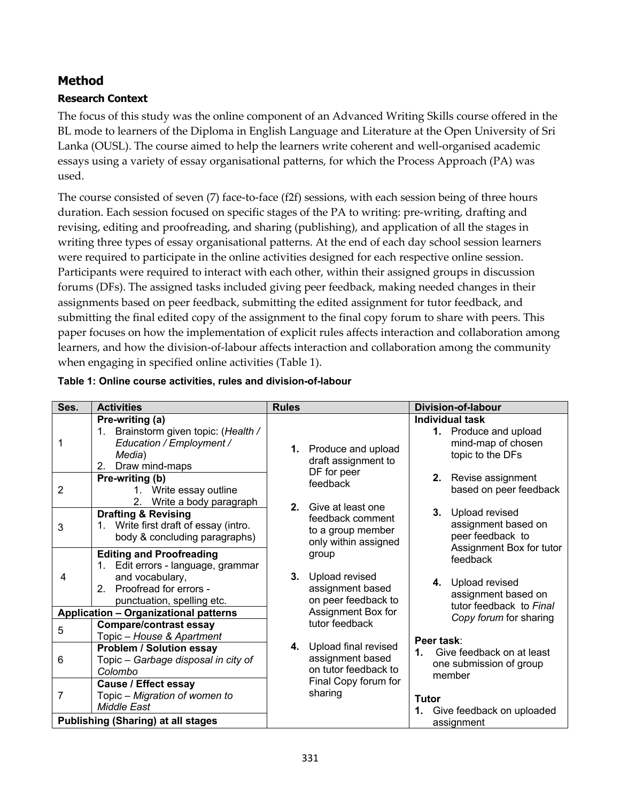## **Method**

### **Research Context**

The focus of this study was the online component of an Advanced Writing Skills course offered in the BL mode to learners of the Diploma in English Language and Literature at the Open University of Sri Lanka (OUSL). The course aimed to help the learners write coherent and well-organised academic essays using a variety of essay organisational patterns, for which the Process Approach (PA) was used.

The course consisted of seven (7) face-to-face (f2f) sessions, with each session being of three hours duration. Each session focused on specific stages of the PA to writing: pre-writing, drafting and revising, editing and proofreading, and sharing (publishing), and application of all the stages in writing three types of essay organisational patterns. At the end of each day school session learners were required to participate in the online activities designed for each respective online session. Participants were required to interact with each other, within their assigned groups in discussion forums (DFs). The assigned tasks included giving peer feedback, making needed changes in their assignments based on peer feedback, submitting the edited assignment for tutor feedback, and submitting the final edited copy of the assignment to the final copy forum to share with peers. This paper focuses on how the implementation of explicit rules affects interaction and collaboration among learners, and how the division-of-labour affects interaction and collaboration among the community when engaging in specified online activities (Table 1).

| Ses.                                         | <b>Activities</b>                                                                                                                                   | <b>Rules</b> |                                                                    | <b>Division-of-labour</b> |                                                                                       |  |  |
|----------------------------------------------|-----------------------------------------------------------------------------------------------------------------------------------------------------|--------------|--------------------------------------------------------------------|---------------------------|---------------------------------------------------------------------------------------|--|--|
|                                              | Pre-writing (a)<br>Brainstorm given topic: (Health /<br>1.<br>Education / Employment /<br>Media)<br>Draw mind-maps<br>2.                            |              | 1. Produce and upload<br>draft assignment to<br>DF for peer        |                           | Individual task<br>1. Produce and upload<br>mind-map of chosen<br>topic to the DFs    |  |  |
| 2                                            | Pre-writing (b)<br>1. Write essay outline<br>Write a body paragraph<br>2.                                                                           |              | feedback<br>2. Give at least one                                   | 2.                        | Revise assignment<br>based on peer feedback                                           |  |  |
| 3                                            | <b>Drafting &amp; Revising</b><br>1. Write first draft of essay (intro.<br>body & concluding paragraphs)                                            |              | feedback comment<br>to a group member<br>only within assigned      | 3.                        | Upload revised<br>assignment based on<br>peer feedback to<br>Assignment Box for tutor |  |  |
| 4                                            | <b>Editing and Proofreading</b><br>1. Edit errors - language, grammar<br>and vocabulary,<br>2. Proofread for errors -<br>punctuation, spelling etc. | 3.           | group<br>Upload revised<br>assignment based<br>on peer feedback to |                           | feedback<br>4. Upload revised<br>assignment based on<br>tutor feedback to Final       |  |  |
| <b>Application - Organizational patterns</b> |                                                                                                                                                     |              | Assignment Box for                                                 |                           | Copy forum for sharing                                                                |  |  |
| 5                                            | <b>Compare/contrast essay</b><br>Topic - House & Apartment                                                                                          |              | tutor feedback                                                     | Peer task:                |                                                                                       |  |  |
| 6                                            | <b>Problem / Solution essay</b><br>Topic - Garbage disposal in city of<br>Colombo                                                                   | 4.           | Upload final revised<br>assignment based<br>on tutor feedback to   | $1_{-}$                   | Give feedback on at least<br>one submission of group<br>member                        |  |  |
| 7                                            | <b>Cause / Effect essay</b><br>Topic - Migration of women to<br><b>Middle East</b>                                                                  |              | Final Copy forum for<br>sharing                                    | <b>Tutor</b>              | 1. Give feedback on uploaded                                                          |  |  |
| <b>Publishing (Sharing) at all stages</b>    |                                                                                                                                                     |              |                                                                    |                           | assignment                                                                            |  |  |

### **Table 1: Online course activities, rules and division-of-labour**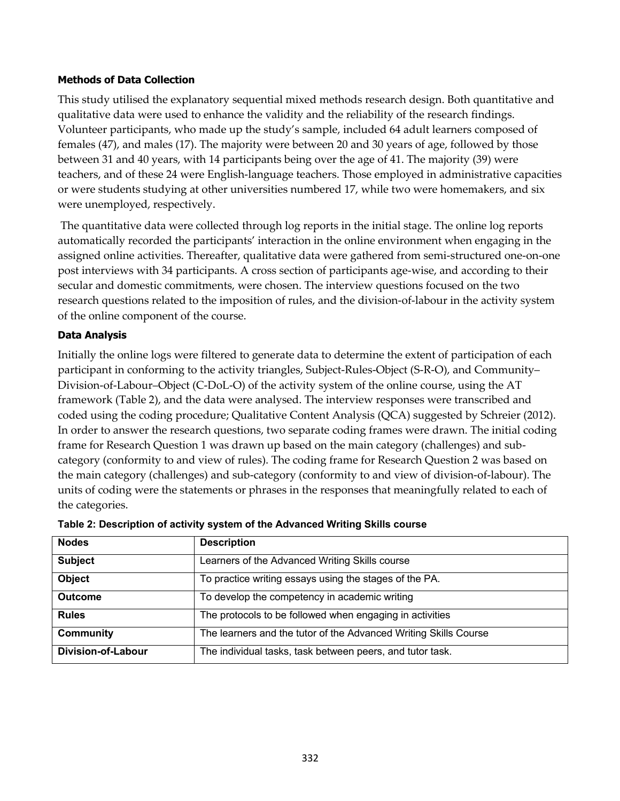#### **Methods of Data Collection**

This study utilised the explanatory sequential mixed methods research design. Both quantitative and qualitative data were used to enhance the validity and the reliability of the research findings. Volunteer participants, who made up the study's sample, included 64 adult learners composed of females (47), and males (17). The majority were between 20 and 30 years of age, followed by those between 31 and 40 years, with 14 participants being over the age of 41. The majority (39) were teachers, and of these 24 were English-language teachers. Those employed in administrative capacities or were students studying at other universities numbered 17, while two were homemakers, and six were unemployed, respectively.

The quantitative data were collected through log reports in the initial stage. The online log reports automatically recorded the participants' interaction in the online environment when engaging in the assigned online activities. Thereafter, qualitative data were gathered from semi-structured one-on-one post interviews with 34 participants. A cross section of participants age-wise, and according to their secular and domestic commitments, were chosen. The interview questions focused on the two research questions related to the imposition of rules, and the division-of-labour in the activity system of the online component of the course.

#### **Data Analysis**

Initially the online logs were filtered to generate data to determine the extent of participation of each participant in conforming to the activity triangles, Subject-Rules-Object (S-R-O), and Community– Division-of-Labour–Object (C-DoL-O) of the activity system of the online course, using the AT framework (Table 2), and the data were analysed. The interview responses were transcribed and coded using the coding procedure; Qualitative Content Analysis (QCA) suggested by Schreier (2012). In order to answer the research questions, two separate coding frames were drawn. The initial coding frame for Research Question 1 was drawn up based on the main category (challenges) and subcategory (conformity to and view of rules). The coding frame for Research Question 2 was based on the main category (challenges) and sub-category (conformity to and view of division-of-labour). The units of coding were the statements or phrases in the responses that meaningfully related to each of the categories.

| <b>Nodes</b>              | <b>Description</b>                                               |
|---------------------------|------------------------------------------------------------------|
| <b>Subject</b>            | Learners of the Advanced Writing Skills course                   |
| <b>Object</b>             | To practice writing essays using the stages of the PA.           |
| <b>Outcome</b>            | To develop the competency in academic writing                    |
| <b>Rules</b>              | The protocols to be followed when engaging in activities         |
| <b>Community</b>          | The learners and the tutor of the Advanced Writing Skills Course |
| <b>Division-of-Labour</b> | The individual tasks, task between peers, and tutor task.        |

|  | Table 2: Description of activity system of the Advanced Writing Skills course |  |
|--|-------------------------------------------------------------------------------|--|
|  |                                                                               |  |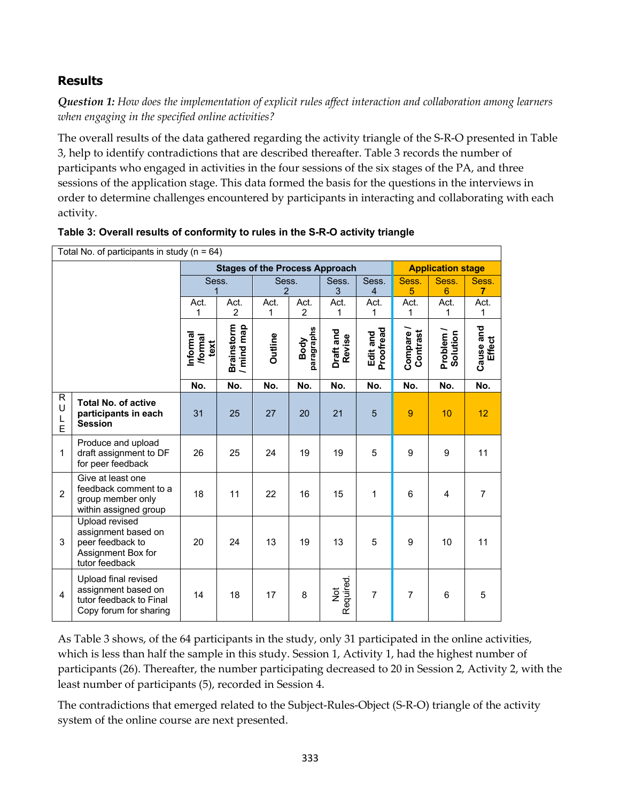## **Results**

*Question 1: How does the implementation of explicit rules affect interaction and collaboration among learners when engaging in the specified online activities?*

The overall results of the data gathered regarding the activity triangle of the S-R-O presented in Table 3, help to identify contradictions that are described thereafter. Table 3 records the number of participants who engaged in activities in the four sessions of the six stages of the PA, and three sessions of the application stage. This data formed the basis for the questions in the interviews in order to determine challenges encountered by participants in interacting and collaborating with each activity.

| Total No. of participants in study ( $n = 64$ ) |                                                                                                   |                                       |                               |                         |                        |                            |                         |                     |                          |                         |  |
|-------------------------------------------------|---------------------------------------------------------------------------------------------------|---------------------------------------|-------------------------------|-------------------------|------------------------|----------------------------|-------------------------|---------------------|--------------------------|-------------------------|--|
|                                                 |                                                                                                   | <b>Stages of the Process Approach</b> |                               |                         |                        |                            |                         |                     | <b>Application stage</b> |                         |  |
|                                                 |                                                                                                   | Sess.<br>1                            |                               | Sess.<br>$\overline{2}$ |                        | Sess.<br>3                 | Sess.<br>$\overline{4}$ | Sess.<br>5          | Sess.<br>$6\phantom{1}6$ | Sess.<br>$\overline{7}$ |  |
|                                                 |                                                                                                   | Act.<br>1                             | Act.<br>$\overline{2}$        | Act.<br>1               | Act.<br>$\overline{2}$ | Act.<br>1                  | Act.<br>1               | Act.<br>1           | Act.<br>1                | Act.<br>1               |  |
|                                                 |                                                                                                   | Informa<br>/formal<br>text            | <b>Brainstorm</b><br>mind map | <b>Outline</b>          | paragraphs<br>Body     | Draft and<br>Revise        | Proofread<br>Edit and   | Compare<br>Contrast | Problem<br>Solution      | Cause and<br>Effect     |  |
|                                                 |                                                                                                   | No.                                   | No.                           | No.                     | No.                    | No.                        | No.                     | No.                 | No.                      | No.                     |  |
| R<br>U<br>L<br>Ė                                | <b>Total No. of active</b><br>participants in each<br><b>Session</b>                              | 31                                    | 25                            | 27                      | 20                     | 21                         | $\overline{5}$          | $\overline{9}$      | 10                       | 12                      |  |
| $\mathbf{1}$                                    | Produce and upload<br>draft assignment to DF<br>for peer feedback                                 | 26                                    | 25                            | 24                      | 19                     | 19                         | 5                       | 9                   | 9                        | 11                      |  |
| $\overline{2}$                                  | Give at least one<br>feedback comment to a<br>group member only<br>within assigned group          | 18                                    | 11                            | 22                      | 16                     | 15                         | 1                       | $6\phantom{1}$      | $\overline{\mathbf{4}}$  | $\overline{7}$          |  |
| 3                                               | Upload revised<br>assignment based on<br>peer feedback to<br>Assignment Box for<br>tutor feedback | 20                                    | 24                            | 13                      | 19                     | 13                         | 5                       | 9                   | 10                       | 11                      |  |
| 4                                               | Upload final revised<br>assignment based on<br>tutor feedback to Final<br>Copy forum for sharing  | 14                                    | 18                            | 17                      | 8                      | Required.<br>$\frac{5}{2}$ | $\overline{7}$          | $\overline{7}$      | 6                        | 5                       |  |

**Table 3: Overall results of conformity to rules in the S-R-O activity triangle**

As Table 3 shows, of the 64 participants in the study, only 31 participated in the online activities, which is less than half the sample in this study. Session 1, Activity 1, had the highest number of participants (26). Thereafter, the number participating decreased to 20 in Session 2, Activity 2, with the least number of participants (5), recorded in Session 4.

The contradictions that emerged related to the Subject-Rules-Object (S-R-O) triangle of the activity system of the online course are next presented.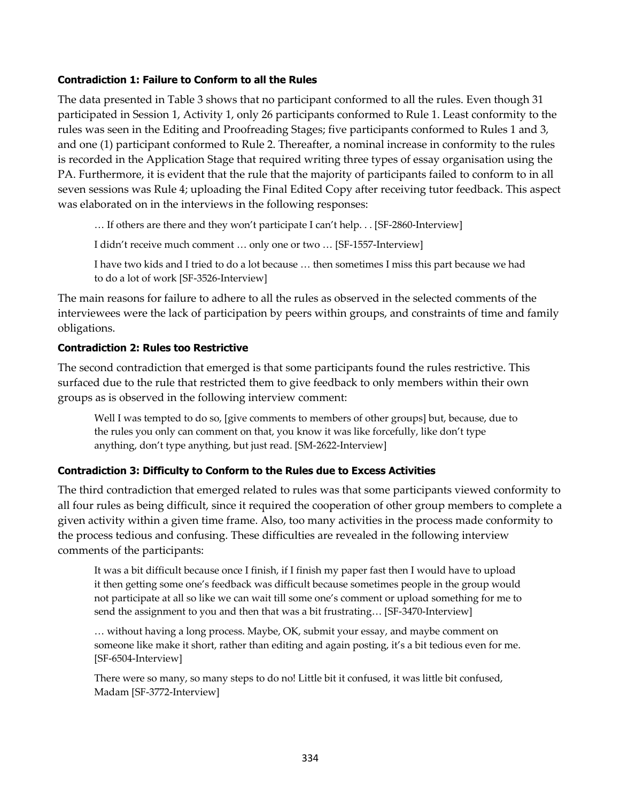#### **Contradiction 1: Failure to Conform to all the Rules**

The data presented in Table 3 shows that no participant conformed to all the rules. Even though 31 participated in Session 1, Activity 1, only 26 participants conformed to Rule 1. Least conformity to the rules was seen in the Editing and Proofreading Stages; five participants conformed to Rules 1 and 3, and one (1) participant conformed to Rule 2. Thereafter, a nominal increase in conformity to the rules is recorded in the Application Stage that required writing three types of essay organisation using the PA. Furthermore, it is evident that the rule that the majority of participants failed to conform to in all seven sessions was Rule 4; uploading the Final Edited Copy after receiving tutor feedback. This aspect was elaborated on in the interviews in the following responses:

… If others are there and they won't participate I can't help. . . [SF-2860-Interview]

I didn't receive much comment … only one or two … [SF-1557-Interview]

I have two kids and I tried to do a lot because … then sometimes I miss this part because we had to do a lot of work [SF-3526-Interview]

The main reasons for failure to adhere to all the rules as observed in the selected comments of the interviewees were the lack of participation by peers within groups, and constraints of time and family obligations.

#### **Contradiction 2: Rules too Restrictive**

The second contradiction that emerged is that some participants found the rules restrictive. This surfaced due to the rule that restricted them to give feedback to only members within their own groups as is observed in the following interview comment:

Well I was tempted to do so, [give comments to members of other groups] but, because, due to the rules you only can comment on that, you know it was like forcefully, like don't type anything, don't type anything, but just read. [SM-2622-Interview]

#### **Contradiction 3: Difficulty to Conform to the Rules due to Excess Activities**

The third contradiction that emerged related to rules was that some participants viewed conformity to all four rules as being difficult, since it required the cooperation of other group members to complete a given activity within a given time frame. Also, too many activities in the process made conformity to the process tedious and confusing. These difficulties are revealed in the following interview comments of the participants:

It was a bit difficult because once I finish, if I finish my paper fast then I would have to upload it then getting some one's feedback was difficult because sometimes people in the group would not participate at all so like we can wait till some one's comment or upload something for me to send the assignment to you and then that was a bit frustrating… [SF-3470-Interview]

… without having a long process. Maybe, OK, submit your essay, and maybe comment on someone like make it short, rather than editing and again posting, it's a bit tedious even for me. [SF-6504-Interview]

There were so many, so many steps to do no! Little bit it confused, it was little bit confused, Madam [SF-3772-Interview]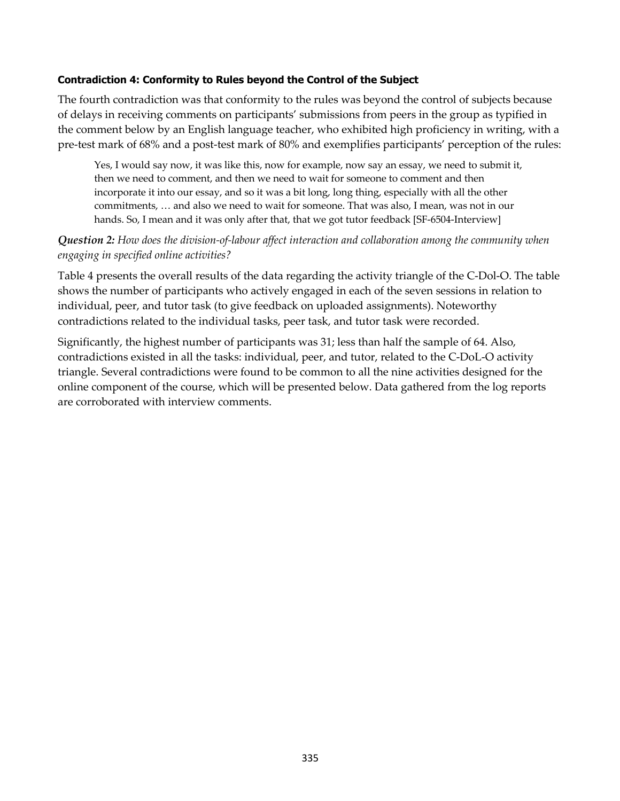#### **Contradiction 4: Conformity to Rules beyond the Control of the Subject**

The fourth contradiction was that conformity to the rules was beyond the control of subjects because of delays in receiving comments on participants' submissions from peers in the group as typified in the comment below by an English language teacher, who exhibited high proficiency in writing, with a pre-test mark of 68% and a post-test mark of 80% and exemplifies participants' perception of the rules:

Yes, I would say now, it was like this, now for example, now say an essay, we need to submit it, then we need to comment, and then we need to wait for someone to comment and then incorporate it into our essay, and so it was a bit long, long thing, especially with all the other commitments, … and also we need to wait for someone. That was also, I mean, was not in our hands. So, I mean and it was only after that, that we got tutor feedback [SF-6504-Interview]

### *Question 2: How does the division-of-labour affect interaction and collaboration among the community when engaging in specified online activities?*

Table 4 presents the overall results of the data regarding the activity triangle of the C-Dol-O. The table shows the number of participants who actively engaged in each of the seven sessions in relation to individual, peer, and tutor task (to give feedback on uploaded assignments). Noteworthy contradictions related to the individual tasks, peer task, and tutor task were recorded.

Significantly, the highest number of participants was 31; less than half the sample of 64. Also, contradictions existed in all the tasks: individual, peer, and tutor, related to the C-DoL-O activity triangle. Several contradictions were found to be common to all the nine activities designed for the online component of the course, which will be presented below. Data gathered from the log reports are corroborated with interview comments.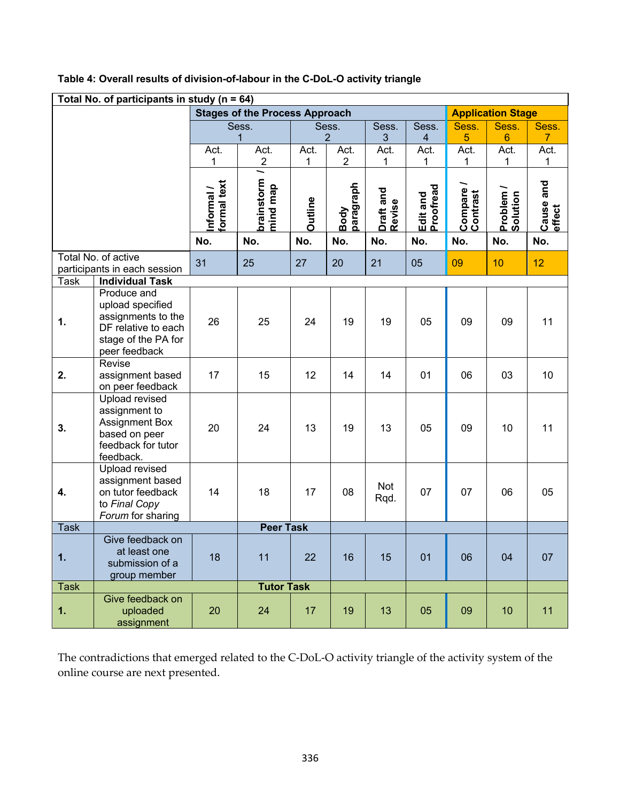| Total No. of participants in study ( $n = 64$ ) |                                                                                                                      |                                       |                        |                          |                        |                     |                       |                      |                       |                        |
|-------------------------------------------------|----------------------------------------------------------------------------------------------------------------------|---------------------------------------|------------------------|--------------------------|------------------------|---------------------|-----------------------|----------------------|-----------------------|------------------------|
|                                                 |                                                                                                                      | <b>Stages of the Process Approach</b> |                        | <b>Application Stage</b> |                        |                     |                       |                      |                       |                        |
|                                                 |                                                                                                                      | Sess.                                 |                        | Sess.                    |                        | Sess.               | Sess.                 | Sess.                | Sess.                 | Sess.                  |
|                                                 |                                                                                                                      |                                       | 1                      |                          | $\overline{2}$         | $\mathfrak{S}$      | 4                     | $\overline{5}$       | $\boldsymbol{6}$      | $\overline{7}$         |
|                                                 |                                                                                                                      | Act.<br>1                             | Act.<br>$\overline{c}$ | Act.<br>1                | Act.<br>$\overline{2}$ | Act.<br>1           | Act.<br>1             | Act.<br>1            | Act.<br>1             | Act.<br>1              |
|                                                 |                                                                                                                      |                                       | 1                      |                          |                        |                     |                       |                      |                       |                        |
|                                                 |                                                                                                                      | formal text<br>Informal /             | brainstorm<br>mind map | <b>Outline</b>           | paragraph<br>Body      | Draft and<br>Revise | Proofread<br>Edit and | Compare/<br>Contrast | Problem /<br>Solution | and<br>Cause<br>effect |
|                                                 |                                                                                                                      | No.                                   | No.                    | No.                      | No.                    | No.                 | No.                   | No.                  | No.                   | No.                    |
|                                                 | Total No. of active                                                                                                  | 31                                    | 25                     | 27                       | 20                     | 21                  | 05                    | 09                   | 10                    | 12                     |
|                                                 | participants in each session                                                                                         |                                       |                        |                          |                        |                     |                       |                      |                       |                        |
| Task                                            | <b>Individual Task</b>                                                                                               |                                       |                        |                          |                        |                     |                       |                      |                       |                        |
| $\mathbf 1$ .                                   | Produce and<br>upload specified<br>assignments to the<br>DF relative to each<br>stage of the PA for<br>peer feedback | 26                                    | 25                     | 24                       | 19                     | 19                  | 05                    | 09                   | 09                    | 11                     |
| 2.                                              | Revise<br>assignment based<br>on peer feedback                                                                       | 17                                    | 15                     | 12                       | 14                     | 14                  | 01                    | 06                   | 03                    | 10                     |
| 3.                                              | Upload revised<br>assignment to<br><b>Assignment Box</b><br>based on peer<br>feedback for tutor<br>feedback.         | 20                                    | 24                     | 13                       | 19                     | 13                  | 05                    | 09                   | 10                    | 11                     |
| 4.                                              | Upload revised<br>assignment based<br>on tutor feedback<br>to Final Copy<br>Forum for sharing                        | 14                                    | 18                     | 17                       | 08                     | Not<br>Rqd.         | 07                    | 07                   | 06                    | 05                     |
| <b>Task</b>                                     | <b>Peer Task</b>                                                                                                     |                                       |                        |                          |                        |                     |                       |                      |                       |                        |
| 1.                                              | Give feedback on<br>at least one<br>submission of a<br>group member                                                  | 18                                    | 11                     | 22                       | 16                     | 15                  | 01                    | 06                   | 04                    | 07                     |
| <b>Task</b>                                     |                                                                                                                      |                                       | <b>Tutor Task</b>      |                          |                        |                     |                       |                      |                       |                        |
| 1.                                              | Give feedback on<br>uploaded<br>assignment                                                                           | 20                                    | 24                     | 17                       | 19                     | 13                  | 05                    | 09                   | 10                    | 11                     |

### **Table 4: Overall results of division-of-labour in the C-DoL-O activity triangle**

The contradictions that emerged related to the C-DoL-O activity triangle of the activity system of the online course are next presented.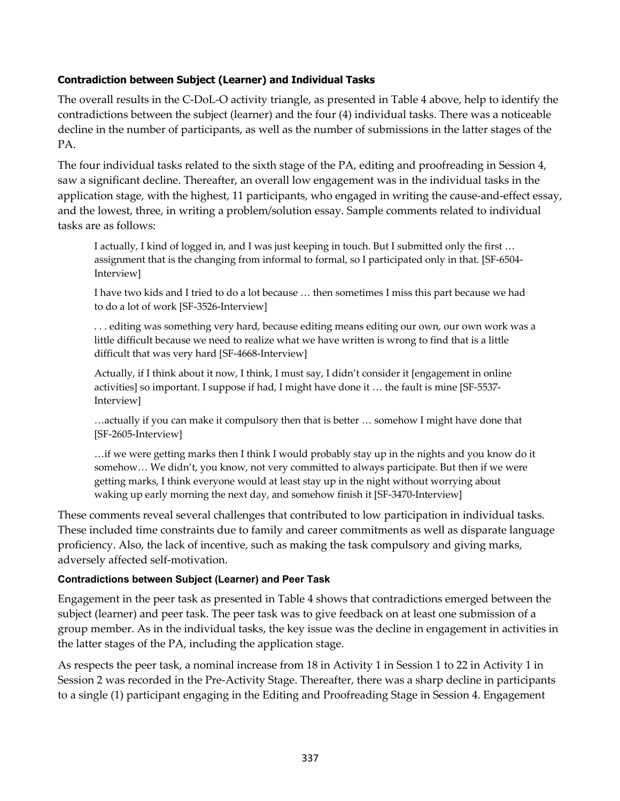### **Contradiction between Subject (Learner) and Individual Tasks**

The overall results in the C-DoL-O activity triangle, as presented in Table 4 above, help to identify the contradictions between the subject (learner) and the four (4) individual tasks. There was a noticeable decline in the number of participants, as well as the number of submissions in the latter stages of the PA.

The four individual tasks related to the sixth stage of the PA, editing and proofreading in Session 4, saw a significant decline. Thereafter, an overall low engagement was in the individual tasks in the application stage, with the highest, 11 participants, who engaged in writing the cause-and-effect essay, and the lowest, three, in writing a problem/solution essay. Sample comments related to individual tasks are as follows:

I actually, I kind of logged in, and I was just keeping in touch. But I submitted only the first … assignment that is the changing from informal to formal, so I participated only in that. [SF-6504- Interview]

I have two kids and I tried to do a lot because … then sometimes I miss this part because we had to do a lot of work [SF-3526-Interview]

. . . editing was something very hard, because editing means editing our own, our own work was a little difficult because we need to realize what we have written is wrong to find that is a little difficult that was very hard [SF-4668-Interview]

Actually, if I think about it now, I think, I must say, I didn't consider it [engagement in online activities] so important. I suppose if had, I might have done it … the fault is mine [SF-5537- Interview]

…actually if you can make it compulsory then that is better … somehow I might have done that [SF-2605-Interview]

…if we were getting marks then I think I would probably stay up in the nights and you know do it somehow… We didn't, you know, not very committed to always participate. But then if we were getting marks, I think everyone would at least stay up in the night without worrying about waking up early morning the next day, and somehow finish it [SF-3470-Interview]

These comments reveal several challenges that contributed to low participation in individual tasks. These included time constraints due to family and career commitments as well as disparate language proficiency. Also, the lack of incentive, such as making the task compulsory and giving marks, adversely affected self-motivation.

#### **Contradictions between Subject (Learner) and Peer Task**

Engagement in the peer task as presented in Table 4 shows that contradictions emerged between the subject (learner) and peer task. The peer task was to give feedback on at least one submission of a group member. As in the individual tasks, the key issue was the decline in engagement in activities in the latter stages of the PA, including the application stage.

As respects the peer task, a nominal increase from 18 in Activity 1 in Session 1 to 22 in Activity 1 in Session 2 was recorded in the Pre-Activity Stage. Thereafter, there was a sharp decline in participants to a single (1) participant engaging in the Editing and Proofreading Stage in Session 4. Engagement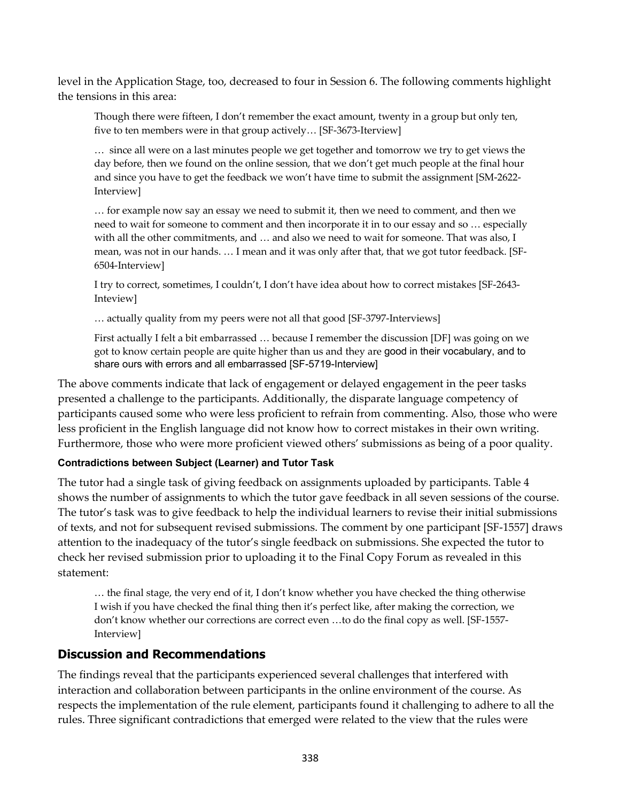level in the Application Stage, too, decreased to four in Session 6. The following comments highlight the tensions in this area:

Though there were fifteen, I don't remember the exact amount, twenty in a group but only ten, five to ten members were in that group actively… [SF-3673-Iterview]

… since all were on a last minutes people we get together and tomorrow we try to get views the day before, then we found on the online session, that we don't get much people at the final hour and since you have to get the feedback we won't have time to submit the assignment [SM-2622- Interview]

… for example now say an essay we need to submit it, then we need to comment, and then we need to wait for someone to comment and then incorporate it in to our essay and so … especially with all the other commitments, and … and also we need to wait for someone. That was also, I mean, was not in our hands. … I mean and it was only after that, that we got tutor feedback. [SF-6504-Interview]

I try to correct, sometimes, I couldn't, I don't have idea about how to correct mistakes [SF-2643- Inteview]

… actually quality from my peers were not all that good [SF-3797-Interviews]

First actually I felt a bit embarrassed … because I remember the discussion [DF] was going on we got to know certain people are quite higher than us and they are good in their vocabulary, and to share ours with errors and all embarrassed [SF-5719-Interview]

The above comments indicate that lack of engagement or delayed engagement in the peer tasks presented a challenge to the participants. Additionally, the disparate language competency of participants caused some who were less proficient to refrain from commenting. Also, those who were less proficient in the English language did not know how to correct mistakes in their own writing. Furthermore, those who were more proficient viewed others' submissions as being of a poor quality.

#### **Contradictions between Subject (Learner) and Tutor Task**

The tutor had a single task of giving feedback on assignments uploaded by participants. Table 4 shows the number of assignments to which the tutor gave feedback in all seven sessions of the course. The tutor's task was to give feedback to help the individual learners to revise their initial submissions of texts, and not for subsequent revised submissions. The comment by one participant [SF-1557] draws attention to the inadequacy of the tutor's single feedback on submissions. She expected the tutor to check her revised submission prior to uploading it to the Final Copy Forum as revealed in this statement:

… the final stage, the very end of it, I don't know whether you have checked the thing otherwise I wish if you have checked the final thing then it's perfect like, after making the correction, we don't know whether our corrections are correct even …to do the final copy as well. [SF-1557- Interview]

## **Discussion and Recommendations**

The findings reveal that the participants experienced several challenges that interfered with interaction and collaboration between participants in the online environment of the course. As respects the implementation of the rule element, participants found it challenging to adhere to all the rules. Three significant contradictions that emerged were related to the view that the rules were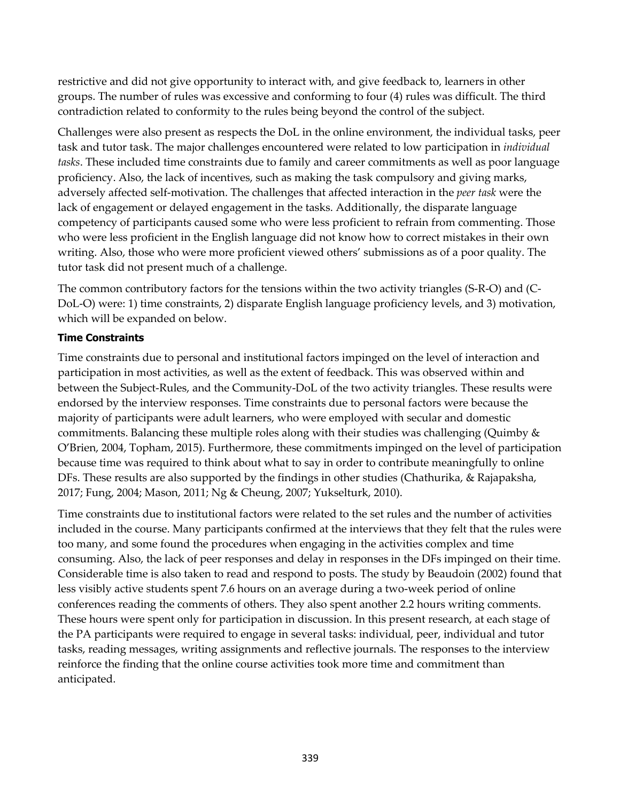restrictive and did not give opportunity to interact with, and give feedback to, learners in other groups. The number of rules was excessive and conforming to four (4) rules was difficult. The third contradiction related to conformity to the rules being beyond the control of the subject.

Challenges were also present as respects the DoL in the online environment, the individual tasks, peer task and tutor task. The major challenges encountered were related to low participation in *individual tasks*. These included time constraints due to family and career commitments as well as poor language proficiency. Also, the lack of incentives, such as making the task compulsory and giving marks, adversely affected self-motivation. The challenges that affected interaction in the *peer task* were the lack of engagement or delayed engagement in the tasks. Additionally, the disparate language competency of participants caused some who were less proficient to refrain from commenting. Those who were less proficient in the English language did not know how to correct mistakes in their own writing. Also, those who were more proficient viewed others' submissions as of a poor quality. The tutor task did not present much of a challenge.

The common contributory factors for the tensions within the two activity triangles (S-R-O) and (C-DoL-O) were: 1) time constraints, 2) disparate English language proficiency levels, and 3) motivation, which will be expanded on below.

### **Time Constraints**

Time constraints due to personal and institutional factors impinged on the level of interaction and participation in most activities, as well as the extent of feedback. This was observed within and between the Subject-Rules, and the Community-DoL of the two activity triangles. These results were endorsed by the interview responses. Time constraints due to personal factors were because the majority of participants were adult learners, who were employed with secular and domestic commitments. Balancing these multiple roles along with their studies was challenging (Quimby & O'Brien, 2004, Topham, 2015). Furthermore, these commitments impinged on the level of participation because time was required to think about what to say in order to contribute meaningfully to online DFs. These results are also supported by the findings in other studies (Chathurika, & Rajapaksha, 2017; Fung, 2004; Mason, 2011; Ng & Cheung, 2007; Yukselturk, 2010).

Time constraints due to institutional factors were related to the set rules and the number of activities included in the course. Many participants confirmed at the interviews that they felt that the rules were too many, and some found the procedures when engaging in the activities complex and time consuming. Also, the lack of peer responses and delay in responses in the DFs impinged on their time. Considerable time is also taken to read and respond to posts. The study by Beaudoin (2002) found that less visibly active students spent 7.6 hours on an average during a two-week period of online conferences reading the comments of others. They also spent another 2.2 hours writing comments. These hours were spent only for participation in discussion. In this present research, at each stage of the PA participants were required to engage in several tasks: individual, peer, individual and tutor tasks, reading messages, writing assignments and reflective journals. The responses to the interview reinforce the finding that the online course activities took more time and commitment than anticipated.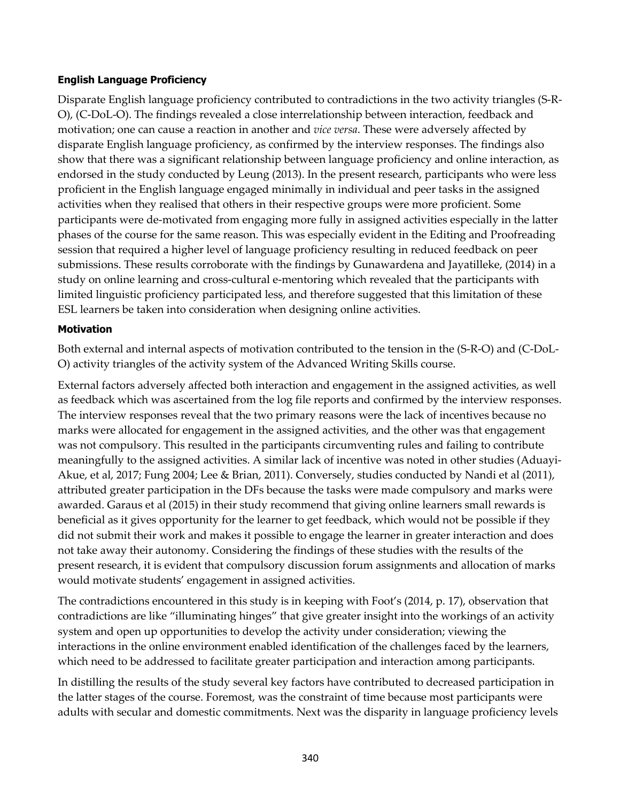#### **English Language Proficiency**

Disparate English language proficiency contributed to contradictions in the two activity triangles (S-R-O), (C-DoL-O). The findings revealed a close interrelationship between interaction, feedback and motivation; one can cause a reaction in another and *vice versa*. These were adversely affected by disparate English language proficiency, as confirmed by the interview responses. The findings also show that there was a significant relationship between language proficiency and online interaction, as endorsed in the study conducted by Leung (2013). In the present research, participants who were less proficient in the English language engaged minimally in individual and peer tasks in the assigned activities when they realised that others in their respective groups were more proficient. Some participants were de-motivated from engaging more fully in assigned activities especially in the latter phases of the course for the same reason. This was especially evident in the Editing and Proofreading session that required a higher level of language proficiency resulting in reduced feedback on peer submissions. These results corroborate with the findings by Gunawardena and Jayatilleke, (2014) in a study on online learning and cross-cultural e-mentoring which revealed that the participants with limited linguistic proficiency participated less, and therefore suggested that this limitation of these ESL learners be taken into consideration when designing online activities.

#### **Motivation**

Both external and internal aspects of motivation contributed to the tension in the (S-R-O) and (C-DoL-O) activity triangles of the activity system of the Advanced Writing Skills course.

External factors adversely affected both interaction and engagement in the assigned activities, as well as feedback which was ascertained from the log file reports and confirmed by the interview responses. The interview responses reveal that the two primary reasons were the lack of incentives because no marks were allocated for engagement in the assigned activities, and the other was that engagement was not compulsory. This resulted in the participants circumventing rules and failing to contribute meaningfully to the assigned activities. A similar lack of incentive was noted in other studies (Aduayi-Akue, et al, 2017; Fung 2004; Lee & Brian, 2011). Conversely, studies conducted by Nandi et al (2011), attributed greater participation in the DFs because the tasks were made compulsory and marks were awarded. Garaus et al (2015) in their study recommend that giving online learners small rewards is beneficial as it gives opportunity for the learner to get feedback, which would not be possible if they did not submit their work and makes it possible to engage the learner in greater interaction and does not take away their autonomy. Considering the findings of these studies with the results of the present research, it is evident that compulsory discussion forum assignments and allocation of marks would motivate students' engagement in assigned activities.

The contradictions encountered in this study is in keeping with Foot's (2014, p. 17), observation that contradictions are like "illuminating hinges" that give greater insight into the workings of an activity system and open up opportunities to develop the activity under consideration; viewing the interactions in the online environment enabled identification of the challenges faced by the learners, which need to be addressed to facilitate greater participation and interaction among participants.

In distilling the results of the study several key factors have contributed to decreased participation in the latter stages of the course. Foremost, was the constraint of time because most participants were adults with secular and domestic commitments. Next was the disparity in language proficiency levels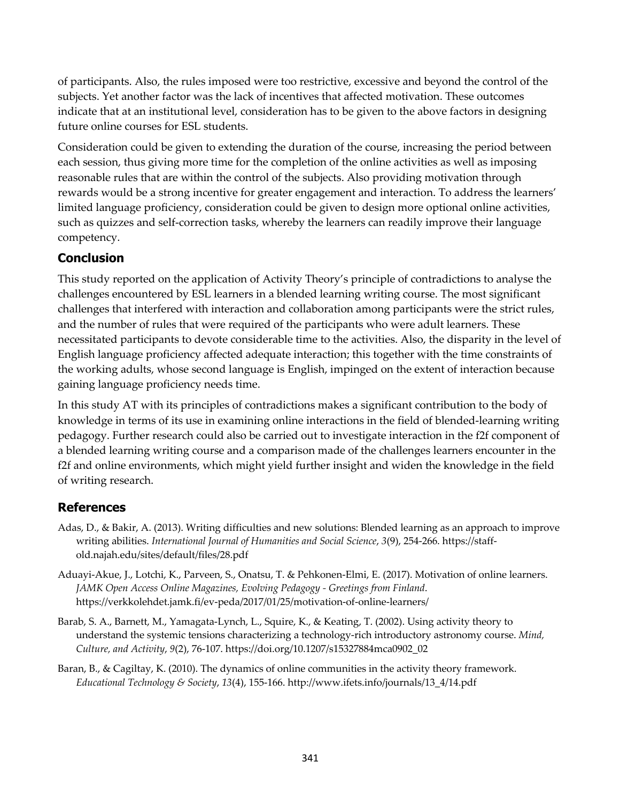of participants. Also, the rules imposed were too restrictive, excessive and beyond the control of the subjects. Yet another factor was the lack of incentives that affected motivation. These outcomes indicate that at an institutional level, consideration has to be given to the above factors in designing future online courses for ESL students.

Consideration could be given to extending the duration of the course, increasing the period between each session, thus giving more time for the completion of the online activities as well as imposing reasonable rules that are within the control of the subjects. Also providing motivation through rewards would be a strong incentive for greater engagement and interaction. To address the learners' limited language proficiency, consideration could be given to design more optional online activities, such as quizzes and self-correction tasks, whereby the learners can readily improve their language competency.

## **Conclusion**

This study reported on the application of Activity Theory's principle of contradictions to analyse the challenges encountered by ESL learners in a blended learning writing course. The most significant challenges that interfered with interaction and collaboration among participants were the strict rules, and the number of rules that were required of the participants who were adult learners. These necessitated participants to devote considerable time to the activities. Also, the disparity in the level of English language proficiency affected adequate interaction; this together with the time constraints of the working adults, whose second language is English, impinged on the extent of interaction because gaining language proficiency needs time.

In this study AT with its principles of contradictions makes a significant contribution to the body of knowledge in terms of its use in examining online interactions in the field of blended-learning writing pedagogy. Further research could also be carried out to investigate interaction in the f2f component of a blended learning writing course and a comparison made of the challenges learners encounter in the f2f and online environments, which might yield further insight and widen the knowledge in the field of writing research.

## **References**

- Adas, D., & Bakir, A. (2013). Writing difficulties and new solutions: Blended learning as an approach to improve writing abilities. *International Journal of Humanities and Social Science*, *3*(9), 254-266. https://staffold.najah.edu/sites/default/files/28.pdf
- Aduayi-Akue, J., Lotchi, K., Parveen, S., Onatsu, T. & Pehkonen-Elmi, E. (2017). Motivation of online learners. *JAMK Open Access Online Magazines, Evolving Pedagogy - Greetings from Finland*. https://verkkolehdet.jamk.fi/ev-peda/2017/01/25/motivation-of-online-learners/
- Barab, S. A., Barnett, M., Yamagata-Lynch, L., Squire, K., & Keating, T. (2002). Using activity theory to understand the systemic tensions characterizing a technology-rich introductory astronomy course. *Mind, Culture, and Activity*, *9*(2), 76-107. https://doi.org/10.1207/s15327884mca0902\_02
- Baran, B., & Cagiltay, K. (2010). The dynamics of online communities in the activity theory framework. *Educational Technology & Society*, *13*(4), 155-166. http://www.ifets.info/journals/13\_4/14.pdf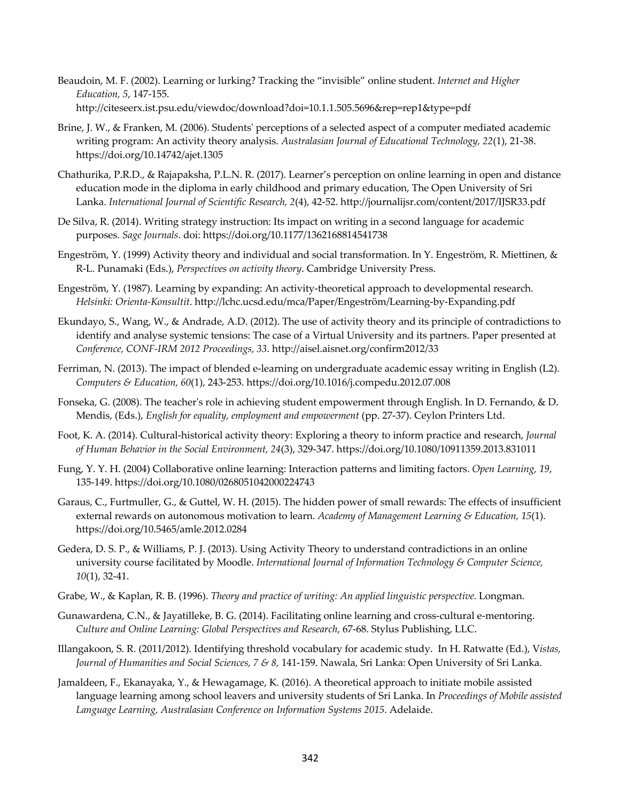- Beaudoin, M. F. (2002). Learning or lurking? Tracking the "invisible" online student. *Internet and Higher Education, 5*, 147-155. http://citeseerx.ist.psu.edu/viewdoc/download?doi=10.1.1.505.5696&rep=rep1&type=pdf
- Brine, J. W., & Franken, M. (2006). Students' perceptions of a selected aspect of a computer mediated academic writing program: An activity theory analysis. *Australasian Journal of Educational Technology, 22*(1), 21-38. https://doi.org/10.14742/ajet.1305
- Chathurika, P.R.D., & Rajapaksha, P.L.N. R. (2017). Learner's perception on online learning in open and distance education mode in the diploma in early childhood and primary education, The Open University of Sri Lanka. *International Journal of Scientific Research, 2*(4), 42-52. http://journalijsr.com/content/2017/IJSR33.pdf
- De Silva, R. (2014). Writing strategy instruction: Its impact on writing in a second language for academic purposes. *Sage Journals*. doi: https://doi.org/10.1177/1362168814541738
- Engeström, Y. (1999) Activity theory and individual and social transformation. In Y. Engeström, R. Miettinen, & R-L. Punamaki (Eds.), *Perspectives on activity theory*. Cambridge University Press.
- Engeström, Y. (1987). Learning by expanding: An activity-theoretical approach to developmental research. *Helsinki: Orienta-Konsultit*. http://lchc.ucsd.edu/mca/Paper/Engeström/Learning-by-Expanding.pdf
- Ekundayo, S., Wang, W., & Andrade, A.D. (2012). The use of activity theory and its principle of contradictions to identify and analyse systemic tensions: The case of a Virtual University and its partners. Paper presented at *Conference, CONF-IRM 2012 Proceedings, 33*. http://aisel.aisnet.org/confirm2012/33
- Ferriman, N. (2013). The impact of blended e-learning on undergraduate academic essay writing in English (L2). *Computers & Education, 60*(1), 243-253. https://doi.org/10.1016/j.compedu.2012.07.008
- Fonseka, G. (2008). The teacher's role in achieving student empowerment through English. In D. Fernando, & D. Mendis, (Eds.), *English for equality, employment and empowerment* (pp. 27-37). Ceylon Printers Ltd.
- Foot, K. A. (2014). Cultural-historical activity theory: Exploring a theory to inform practice and research, *Journal of Human Behavior in the Social Environment, 24*(3), 329-347. https://doi.org/10.1080/10911359.2013.831011
- Fung, Y. Y. H. (2004) Collaborative online learning: Interaction patterns and limiting factors. *Open Learning, 19*, 135-149. https://doi.org/10.1080/0268051042000224743
- Garaus, C., Furtmuller, G., & Guttel, W. H. (2015). The hidden power of small rewards: The effects of insufficient external rewards on autonomous motivation to learn. *Academy of Management Learning & Education, 15*(1). https://doi.org/10.5465/amle.2012.0284
- Gedera, D. S. P., & Williams, P. J. (2013). Using Activity Theory to understand contradictions in an online university course facilitated by Moodle. *International Journal of Information Technology & Computer Science, 10*(1), 32-41.
- Grabe, W., & Kaplan, R. B. (1996). *Theory and practice of writing: An applied linguistic perspective.* Longman.
- Gunawardena, C.N., & Jayatilleke, B. G. (2014). Facilitating online learning and cross-cultural e-mentoring. *Culture and Online Learning: Global Perspectives and Research*, 67-68. Stylus Publishing, LLC.
- Illangakoon, S. R. (2011/2012). Identifying threshold vocabulary for academic study. In H. Ratwatte (Ed.), V*istas, Journal of Humanities and Social Sciences, 7 & 8,* 141-159. Nawala, Sri Lanka: Open University of Sri Lanka.
- Jamaldeen, F., Ekanayaka, Y., & Hewagamage, K. (2016). A theoretical approach to initiate mobile assisted language learning among school leavers and university students of Sri Lanka. In *Proceedings of Mobile assisted Language Learning, Australasian Conference on Information Systems 2015*. Adelaide.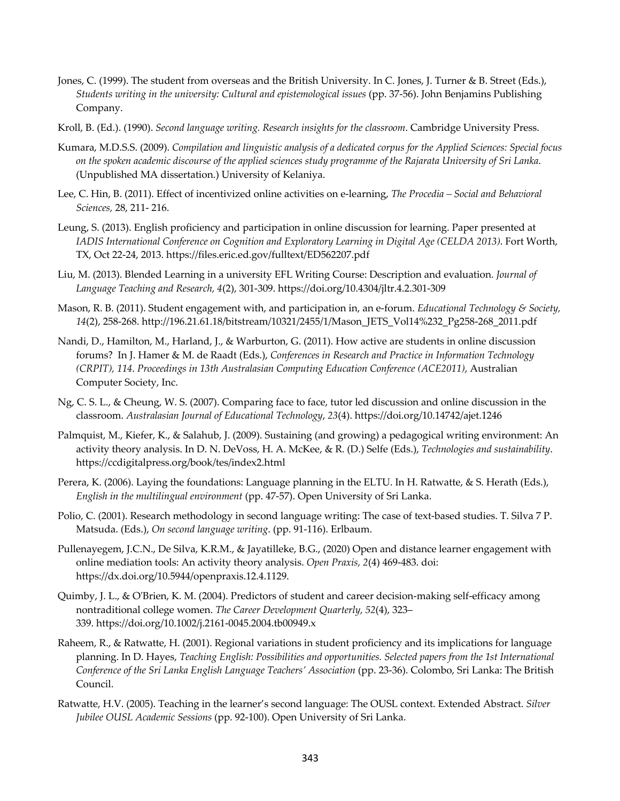- Jones, C. (1999). The student from overseas and the British University. In C. Jones, J. Turner & B. Street (Eds.), *Students writing in the university: Cultural and epistemological issues* (pp. 37-56). John Benjamins Publishing Company.
- Kroll, B. (Ed.). (1990). *Second language writing. Research insights for the classroom*. Cambridge University Press.
- Kumara, M.D.S.S. (2009). *Compilation and linguistic analysis of a dedicated corpus for the Applied Sciences: Special focus on the spoken academic discourse of the applied sciences study programme of the Rajarata University of Sri Lanka*. (Unpublished MA dissertation.) University of Kelaniya.
- Lee, C. Hin, B. (2011). Effect of incentivized online activities on e-learning, *The Procedia – Social and Behavioral Sciences,* 28, 211- 216.
- Leung, S. (2013). English proficiency and participation in online discussion for learning. Paper presented at *IADIS International Conference on Cognition and Exploratory Learning in Digital Age (CELDA 2013)*. Fort Worth, TX, Oct 22-24, 2013. https://files.eric.ed.gov/fulltext/ED562207.pdf
- Liu, M. (2013). Blended Learning in a university EFL Writing Course: Description and evaluation. *Journal of Language Teaching and Research, 4*(2), 301-309. https://doi.org/10.4304/jltr.4.2.301-309
- Mason, R. B. (2011). Student engagement with, and participation in, an e-forum. *Educational Technology & Society, 14*(2), 258-268. http://196.21.61.18/bitstream/10321/2455/1/Mason\_JETS\_Vol14%232\_Pg258-268\_2011.pdf
- Nandi, D., Hamilton, M., Harland, J., & Warburton, G. (2011). How active are students in online discussion forums? In J. Hamer & M. de Raadt (Eds.), *Conferences in Research and Practice in Information Technology (CRPIT), 114*. *Proceedings in 13th Australasian Computing Education Conference (ACE2011)*, Australian Computer Society, Inc.
- Ng, C. S. L., & Cheung, W. S. (2007). Comparing face to face, tutor led discussion and online discussion in the classroom. *Australasian Journal of Educational Technology*, *23*(4). https://doi.org/10.14742/ajet.1246
- Palmquist, M., Kiefer, K., & Salahub, J. (2009). Sustaining (and growing) a pedagogical writing environment: An activity theory analysis. In D. N. DeVoss, H. A. McKee, & R. (D.) Selfe (Eds.), *Technologies and sustainability*. https://ccdigitalpress.org/book/tes/index2.html
- Perera, K. (2006). Laying the foundations: Language planning in the ELTU. In H. Ratwatte, & S. Herath (Eds.), *English in the multilingual environment* (pp. 47-57). Open University of Sri Lanka.
- Polio, C. (2001). Research methodology in second language writing: The case of text-based studies. T. Silva 7 P. Matsuda. (Eds.), *On second language writing*. (pp. 91-116). Erlbaum.
- Pullenayegem, J.C.N., De Silva, K.R.M., & Jayatilleke, B.G., (2020) Open and distance learner engagement with online mediation tools: An activity theory analysis. *Open Praxis, 2*(4) 469-483. doi: https://dx.doi.org/10.5944/openpraxis.12.4.1129.
- Quimby, J. L., & O'Brien, K. M. (2004). Predictors of student and career decision-making self-efficacy among nontraditional college women. *The Career Development Quarterly, 52*(4), 323– 339. https://doi.org/10.1002/j.2161-0045.2004.tb00949.x
- Raheem, R., & Ratwatte, H. (2001). Regional variations in student proficiency and its implications for language planning. In D. Hayes, *Teaching English: Possibilities and opportunities. Selected papers from the 1st International Conference of the Sri Lanka English Language Teachers' Association* (pp. 23-36). Colombo, Sri Lanka: The British Council.
- Ratwatte, H.V. (2005). Teaching in the learner's second language: The OUSL context. Extended Abstract. *Silver Jubilee OUSL Academic Sessions* (pp. 92-100). Open University of Sri Lanka.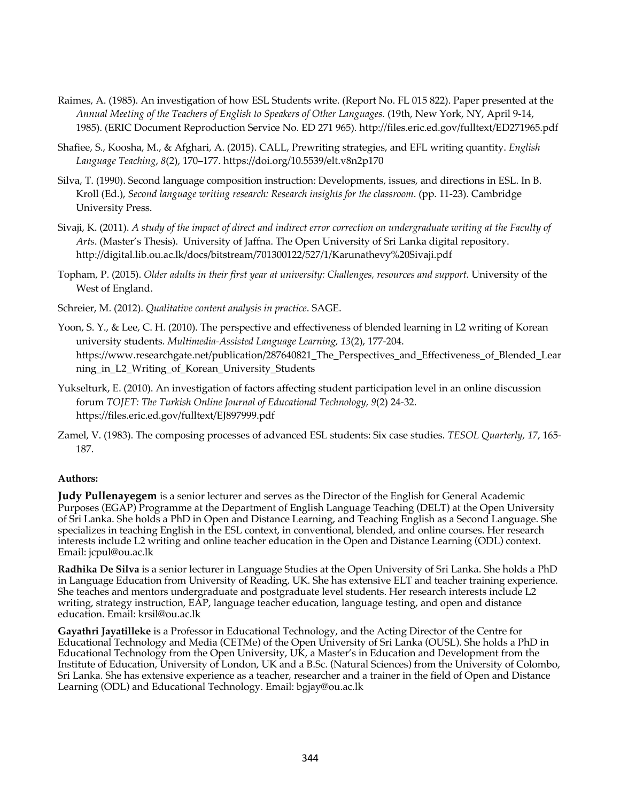- Raimes, A. (1985). An investigation of how ESL Students write. (Report No. FL 015 822). Paper presented at the *Annual Meeting of the Teachers of English to Speakers of Other Languages.* (19th, New York, NY, April 9-14, 1985). (ERIC Document Reproduction Service No. ED 271 965). http://files.eric.ed.gov/fulltext/ED271965.pdf
- Shafiee, S., Koosha, M., & Afghari, A. (2015). CALL, Prewriting strategies, and EFL writing quantity. *English Language Teaching*, *8*(2), 170–177. https://doi.org/10.5539/elt.v8n2p170
- Silva, T. (1990). Second language composition instruction: Developments, issues, and directions in ESL. In B. Kroll (Ed.), *Second language writing research: Research insights for the classroom*. (pp. 11-23). Cambridge University Press.
- Sivaji, K. (2011). *A study of the impact of direct and indirect error correction on undergraduate writing at the Faculty of Arts*. (Master's Thesis). University of Jaffna. The Open University of Sri Lanka digital repository. http://digital.lib.ou.ac.lk/docs/bitstream/701300122/527/1/Karunathevy%20Sivaji.pdf
- Topham, P. (2015). *Older adults in their first year at university: Challenges, resources and support.* University of the West of England.
- Schreier, M. (2012). *Qualitative content analysis in practice*. SAGE.
- Yoon, S. Y., & Lee, C. H. (2010). The perspective and effectiveness of blended learning in L2 writing of Korean university students. *Multimedia-Assisted Language Learning, 13*(2), 177-204. https://www.researchgate.net/publication/287640821\_The\_Perspectives\_and\_Effectiveness\_of\_Blended\_Lear ning\_in\_L2\_Writing\_of\_Korean\_University\_Students
- Yukselturk, E. (2010). An investigation of factors affecting student participation level in an online discussion forum *TOJET: The Turkish Online Journal of Educational Technology, 9*(2) 24-32. https://files.eric.ed.gov/fulltext/EJ897999.pdf
- Zamel, V. (1983). The composing processes of advanced ESL students: Six case studies. *TESOL Quarterly, 17*, 165- 187.

#### **Authors:**

**Judy Pullenayegem** is a senior lecturer and serves as the Director of the English for General Academic Purposes (EGAP) Programme at the Department of English Language Teaching (DELT) at the Open University of Sri Lanka. She holds a PhD in Open and Distance Learning, and Teaching English as a Second Language. She specializes in teaching English in the ESL context, in conventional, blended, and online courses. Her research interests include L2 writing and online teacher education in the Open and Distance Learning (ODL) context. Email: jcpul@ou.ac.lk

**Radhika De Silva** is a senior lecturer in Language Studies at the Open University of Sri Lanka. She holds a PhD in Language Education from University of Reading, UK. She has extensive ELT and teacher training experience. She teaches and mentors undergraduate and postgraduate level students. Her research interests include L2 writing, strategy instruction, EAP, language teacher education, language testing, and open and distance education. Email: krsil@ou.ac.lk

**Gayathri Jayatilleke** is a Professor in Educational Technology, and the Acting Director of the Centre for Educational Technology and Media (CETMe) of the Open University of Sri Lanka (OUSL). She holds a PhD in Educational Technology from the Open University, UK, a Master's in Education and Development from the Institute of Education, University of London, UK and a B.Sc. (Natural Sciences) from the University of Colombo, Sri Lanka. She has extensive experience as a teacher, researcher and a trainer in the field of Open and Distance Learning (ODL) and Educational Technology. Email: bgjay@ou.ac.lk